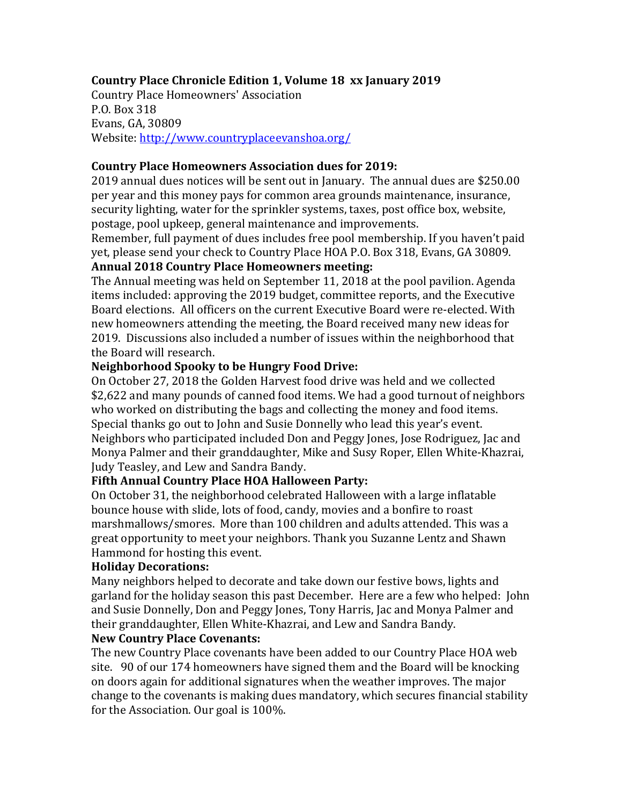# **Country Place Chronicle Edition 1, Volume 18 xx January 2019**

Country Place Homeowners' Association P.O. Box 318 Evans, GA, 30809 Website: http://www.countryplaceevanshoa.org/

#### **Country Place Homeowners Association dues for 2019:**

2019 annual dues notices will be sent out in January. The annual dues are \$250.00 per year and this money pays for common area grounds maintenance, insurance, security lighting, water for the sprinkler systems, taxes, post office box, website, postage, pool upkeep, general maintenance and improvements.

Remember, full payment of dues includes free pool membership. If you haven't paid yet, please send your check to Country Place HOA P.O. Box 318, Evans, GA 30809.

## **Annual 2018 Country Place Homeowners meeting:**

The Annual meeting was held on September 11, 2018 at the pool pavilion. Agenda items included: approving the 2019 budget, committee reports, and the Executive Board elections. All officers on the current Executive Board were re-elected. With new homeowners attending the meeting, the Board received many new ideas for 2019. Discussions also included a number of issues within the neighborhood that the Board will research.

## **Neighborhood Spooky to be Hungry Food Drive:**

On October 27, 2018 the Golden Harvest food drive was held and we collected \$2,622 and many pounds of canned food items. We had a good turnout of neighbors who worked on distributing the bags and collecting the money and food items. Special thanks go out to John and Susie Donnelly who lead this year's event. Neighbors who participated included Don and Peggy Jones, Jose Rodriguez, Jac and Monya Palmer and their granddaughter, Mike and Susy Roper, Ellen White-Khazrai, Judy Teasley, and Lew and Sandra Bandy.

## **Fifth Annual Country Place HOA Halloween Party:**

On October 31, the neighborhood celebrated Halloween with a large inflatable bounce house with slide, lots of food, candy, movies and a bonfire to roast marshmallows/smores. More than 100 children and adults attended. This was a great opportunity to meet your neighbors. Thank you Suzanne Lentz and Shawn Hammond for hosting this event.

#### **Holiday Decorations:**

Many neighbors helped to decorate and take down our festive bows, lights and garland for the holiday season this past December. Here are a few who helped: John and Susie Donnelly, Don and Peggy Jones, Tony Harris, Jac and Monya Palmer and their granddaughter, Ellen White-Khazrai, and Lew and Sandra Bandy.

### **New Country Place Covenants:**

The new Country Place covenants have been added to our Country Place HOA web site. 90 of our 174 homeowners have signed them and the Board will be knocking on doors again for additional signatures when the weather improves. The major change to the covenants is making dues mandatory, which secures financial stability for the Association. Our goal is 100%.